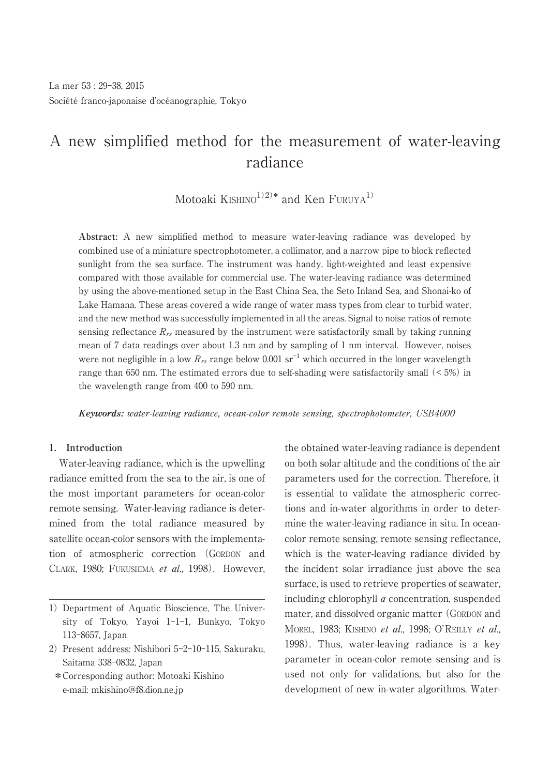# A new simplified method for the measurement of water-leaving radiance

Motoaki  $\text{KISHINO}^{1/2)*}$  and  $\text{Ken FURUYA}^{1/2}$ 

Société franco-japonaise d'océanographie, Tokyo<br>
A new simplified method fo<br>
Motoaki KISHII<br>
Abstract: A new simplified method to<br>
combined use of a miniature spectrophoto<br>
sunlight from the sea surface. The instratory in **Abstract:** A new simplified method to measure water-leaving radiance was developed by combined use of a miniature spectrophotometer, a collimator, and a narrow pipe to block reflected sunlight from the sea surface. The instrument was handy, light-weighted and least expensive compared with those available for commercial use. The water-leaving radiance was determined by using the above-mentioned setup in the East China Sea, the Seto Inland Sea, and Shonai-ko of Lake Hamana. These areas covered a wide range of water mass types from clear to turbid water, and the new method was successfully implemented in all the areas. Signal to noise ratios of remote sensing reflectance  $R_{rs}$  measured by the instrument were satisfactorily small by taking running mean of 7 data readings over about 1.3 nm and by sampling of 1 nm interval. However, noises were not negligible in a low  $R_{rs}$  range below 0.001  $sr^{-1}$  which occurred in the longer wavelength range than 650 nm. The estimated errors due to self-shading were satisfactorily small  $\left($  < 5%) in the wavelength range from 400 to 590 nm.

**Keywords:** water-leaving radiance, ocean-color remote sensing, spectrophotometer, USB4000

# **1. Introduction**

Water-leaving radiance, which is the upwelling radiance emitted from the sea to the air, is one of the most important parameters for ocean-color remote sensing. Water-leaving radiance is determined from the total radiance measured by satellite ocean-color sensors with the implementation of atmospheric correction (GORDON and CLARK, 1980; FUKUSHIMA et al., 1998). However,

- 2) Present address: Nishibori 5-2-10-115, Sakuraku, Saitama 338-0832, Japan
	- \*Corresponding author: Motoaki Kishino e-mail: mkishino@f8.dion.ne.jp

the obtained water-leaving radiance is dependent on both solar altitude and the conditions of the air parameters used for the correction. Therefore, it is essential to validate the atmospheric corrections and in-water algorithms in order to determine the water-leaving radiance in situ. In oceancolor remote sensing, remote sensing reflectance, which is the water-leaving radiance divided by the incident solar irradiance just above the sea surface, is used to retrieve properties of seawater, including chlorophyll a concentration, suspended mater, and dissolved organic matter (GORDON and MOREL, 1983; KISHINO et al., 1998; O'REILLY et al., 1998). Thus, water-leaving radiance is a key parameter in ocean-color remote sensing and is used not only for validations, but also for the development of new in-water algorithms. Water-

<sup>1)</sup> Department of Aquatic Bioscience, The University of Tokyo, Yayoi 1-1-1, Bunkyo, Tokyo 113-8657, Japan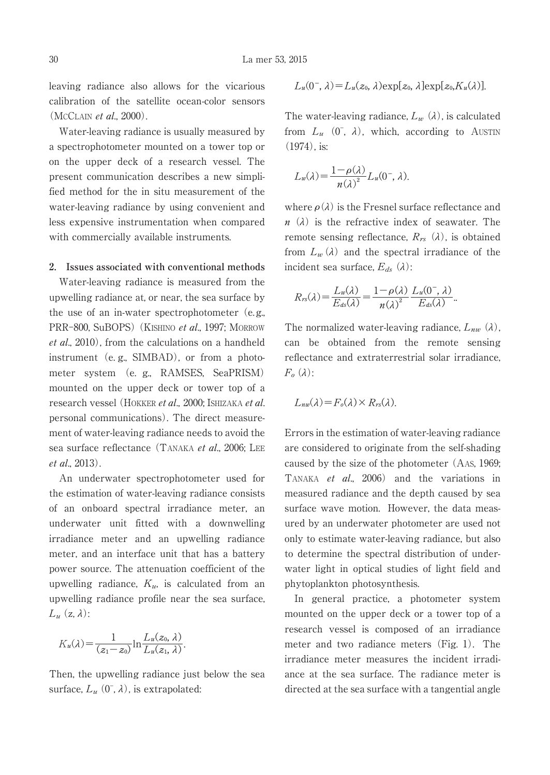leaving radiance also allows for the vicarious calibration of the satellite ocean-color sensors (MCCLAIN et al., 2000).

Water-leaving radiance is usually measured by a spectrophotometer mounted on a tower top or on the upper deck of a research vessel. The present communication describes a new simplified method for the in situ measurement of the water-leaving radiance by using convenient and less expensive instrumentation when compared with commercially available instruments.

### **2. Issues associated with conventional methods**

Water-leaving radiance is measured from the upwelling radiance at, or near, the sea surface by the use of an in-water spectrophotometer (e.g., PRR-800, SuBOPS) (KISHINO et al., 1997; MORROW et al., 2010), from the calculations on a handheld instrument (e. g., SIMBAD), or from a photometer system (e. g., RAMSES, SeaPRISM) mounted on the upper deck or tower top of a research vessel (HOKKER et al., 2000; ISHIZAKA et al. personal communications). The direct measurement of water-leaving radiance needs to avoid the sea surface reflectance (TANAKA et al., 2006; LEE et al., 2013).

An underwater spectrophotometer used for the estimation of water-leaving radiance consists of an onboard spectral irradiance meter, an underwater unit fitted with a downwelling irradiance meter and an upwelling radiance meter, and an interface unit that has a battery power source. The attenuation coefficient of the upwelling radiance,  $K_u$ , is calculated from an upwelling radiance profile near the sea surface,  $L_u$  (z,  $\lambda$ ):

$$
K_u(\lambda) = \frac{1}{(z_1 - z_0)} \ln \frac{L_u(z_0, \lambda)}{L_u(z_1, \lambda)}.
$$

Then, the upwelling radiance just below the sea surface,  $L_u$   $(0^-, \lambda)$ , is extrapolated:

$$
L_u(0^-, \lambda) = L_u(z_0, \lambda) \exp[z_0, \lambda] \exp[z_0, K_u(\lambda)].
$$

The water-leaving radiance,  $L_w(\lambda)$ , is calculated from  $L_u$  (0<sup>-</sup>,  $\lambda$ ), which, according to AUSTIN (1974), is:

$$
L_w(\lambda) = \frac{1 - \rho(\lambda)}{n(\lambda)^2} L_u(0^-, \lambda).
$$

where  $\rho(\lambda)$  is the Fresnel surface reflectance and  $n(\lambda)$  is the refractive index of seawater. The remote sensing reflectance,  $R_{rs}$  ( $\lambda$ ), is obtained from  $L_w(\lambda)$  and the spectral irradiance of the incident sea surface,  $E_{ds}$  ( $\lambda$ ):

$$
R_{rs}(\lambda) = \frac{L_w(\lambda)}{E_{ds}(\lambda)} = \frac{1 - \rho(\lambda)}{n(\lambda)^2} \frac{L_w(0^-,\lambda)}{E_{ds}(\lambda)}.
$$

The normalized water-leaving radiance,  $L_{nw}(\lambda)$ , can be obtained from the remote sensing reflectance and extraterrestrial solar irradiance,  $F_{\alpha}(\lambda)$ :

$$
L_{nw}(\lambda) = F_o(\lambda) \times R_{rs}(\lambda).
$$

Errors in the estimation of water-leaving radiance are considered to originate from the self-shading caused by the size of the photometer (AAS, 1969; TANAKA et al., 2006) and the variations in measured radiance and the depth caused by sea surface wave motion. However, the data measured by an underwater photometer are used not only to estimate water-leaving radiance, but also to determine the spectral distribution of underwater light in optical studies of light field and phytoplankton photosynthesis.

In general practice, a photometer system mounted on the upper deck or a tower top of a research vessel is composed of an irradiance meter and two radiance meters (Fig. 1). The irradiance meter measures the incident irradiance at the sea surface. The radiance meter is directed at the sea surface with a tangential angle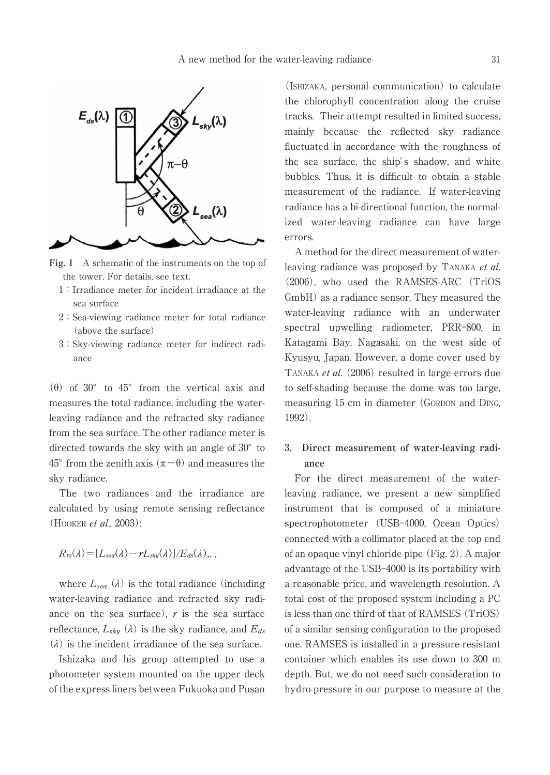

**Fig. 1** A schematic of the instruments on the top of the tower. For details, see text.

- 1:Irradiance meter for incident irradiance at the sea surface
- 2:Sea-viewing radiance meter for total radiance (above the surface)
- 3:Sky-viewing radiance meter for indirect radiance

( $\theta$ ) of 30° to 45° from the vertical axis and measures the total radiance, including the waterleaving radiance and the refracted sky radiance from the sea surface. The other radiance meter is directed towards the sky with an angle of 30 $^{\circ}$  to  $45^{\circ}$  from the zenith axis  $(\pi - \theta)$  and measures the sky radiance.

The two radiances and the irradiance are calculated by using remote sensing reflectance (HOOKER *et al.*, 2003):

 $R_{rs}(\lambda) = [L_{sea}(\lambda) - rL_{sky}(\lambda)]/E_{ds}(\lambda)$ , ,

where  $L_{sea}$  ( $\lambda$ ) is the total radiance (including water-leaving radiance and refracted sky radiance on the sea surface),  $r$  is the sea surface reflectance,  $L_{sky}$  ( $\lambda$ ) is the sky radiance, and  $E_{ds}$  $(\lambda)$  is the incident irradiance of the sea surface.

Ishizaka and his group attempted to use a photometer system mounted on the upper deck of the express liners between Fukuoka and Pusan

(ISHIZAKA, personal communication) to calculate the chlorophyll concentration along the cruise tracks. Their attempt resulted in limited success, mainly because the reflected sky radiance fluctuated in accordance with the roughness of the sea surface, the ship's shadow, and white bubbles. Thus, it is difficult to obtain a stable measurement of the radiance. If water-leaving radiance has a bi-directional function, the normalized water-leaving radiance can have large errors.

A method for the direct measurement of waterleaving radiance was proposed by TANAKA et al. (2006), who used the RAMSES-ARC (TriOS GmbH) as a radiance sensor. They measured the water-leaving radiance with an underwater spectral upwelling radiometer, PRR-800, in Katagami Bay, Nagasaki, on the west side of Kyusyu, Japan. However, a dome cover used by TANAKA *et al.* (2006) resulted in large errors due to self-shading because the dome was too large, measuring 15 cm in diameter (GORDON and DING, 1992).

# **3. Direct measurement of water-leaving radiance**

For the direct measurement of the waterleaving radiance, we present a new simplified instrument that is composed of a miniature spectrophotometer (USB-4000, Ocean Optics) connected with a collimator placed at the top end of an opaque vinyl chloride pipe (Fig. 2). A major advantage of the USB-4000 is its portability with a reasonable price, and wavelength resolution. A total cost of the proposed system including a PC is less than one third of that of RAMSES (TriOS) of a similar sensing configuration to the proposed one. RAMSES is installed in a pressure-resistant container which enables its use down to 300 m depth. But, we do not need such consideration to hydro-pressure in our purpose to measure at the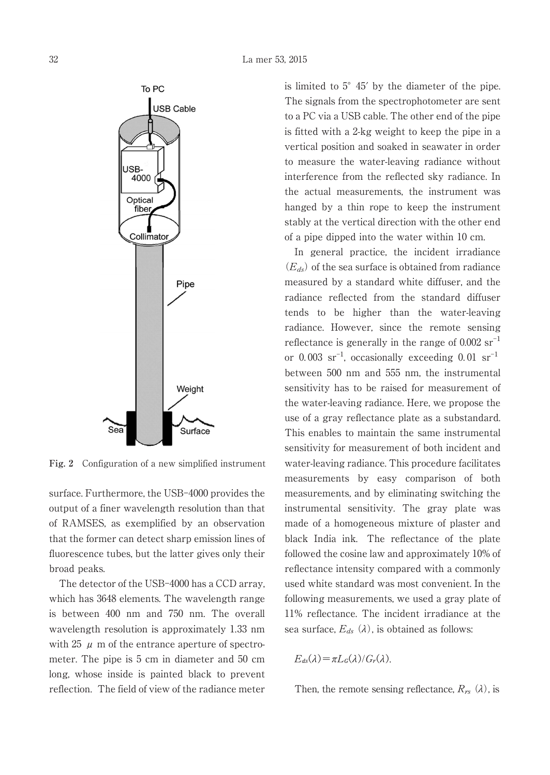

**Fig. 2** Configuration of a new simplified instrument

surface. Furthermore, the USB-4000 provides the output of a finer wavelength resolution than that of RAMSES, as exemplified by an observation that the former can detect sharp emission lines of fluorescence tubes, but the latter gives only their broad peaks.

The detector of the USB-4000 has a CCD array, which has 3648 elements. The wavelength range is between 400 nm and 750 nm. The overall wavelength resolution is approximately 1.33 nm with 25  $\mu$  m of the entrance aperture of spectrometer. The pipe is 5 cm in diameter and 50 cm long, whose inside is painted black to prevent reflection. The field of view of the radiance meter is limited to 5°45′ by the diameter of the pipe. The signals from the spectrophotometer are sent to a PC via a USB cable. The other end of the pipe is fitted with a 2-kg weight to keep the pipe in a vertical position and soaked in seawater in order to measure the water-leaving radiance without interference from the reflected sky radiance. In the actual measurements, the instrument was hanged by a thin rope to keep the instrument stably at the vertical direction with the other end of a pipe dipped into the water within 10 cm.

In general practice, the incident irradiance  $(E_{ds})$  of the sea surface is obtained from radiance measured by a standard white diffuser, and the radiance reflected from the standard diffuser tends to be higher than the water-leaving radiance. However, since the remote sensing reflectance is generally in the range of  $0.002$  sr<sup>-1</sup> or  $0.003 \text{ sr}^{-1}$ , occasionally exceeding  $0.01 \text{ sr}^{-1}$ between 500 nm and 555 nm, the instrumental sensitivity has to be raised for measurement of the water-leaving radiance. Here, we propose the use of a gray reflectance plate as a substandard. This enables to maintain the same instrumental sensitivity for measurement of both incident and water-leaving radiance. This procedure facilitates measurements by easy comparison of both measurements, and by eliminating switching the instrumental sensitivity. The gray plate was made of a homogeneous mixture of plaster and black India ink. The reflectance of the plate followed the cosine law and approximately 10% of reflectance intensity compared with a commonly used white standard was most convenient. In the following measurements, we used a gray plate of 11% reflectance. The incident irradiance at the sea surface,  $E_{ds}$  ( $\lambda$ ), is obtained as follows:

$$
E_{ds}(\lambda) = \pi L_G(\lambda) / G_r(\lambda).
$$

Then, the remote sensing reflectance,  $R_{rs}$  ( $\lambda$ ), is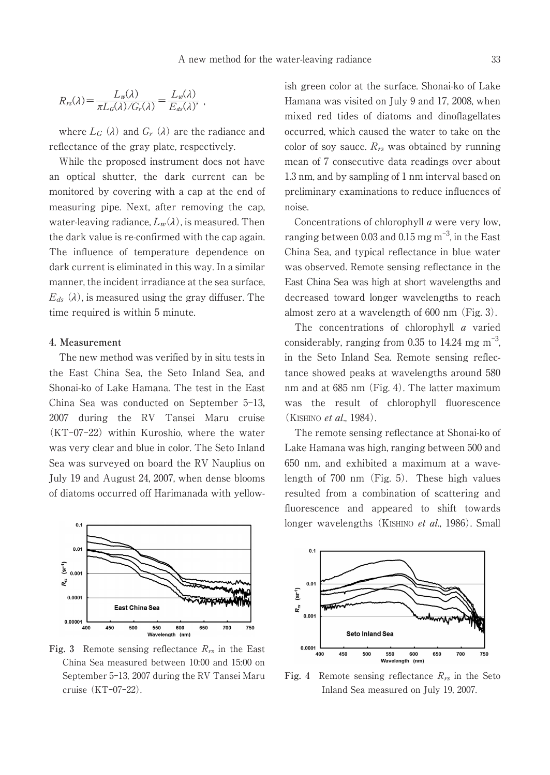$$
R_{rs}(\lambda) = \frac{L_w(\lambda)}{\pi L_c(\lambda) / G_r(\lambda)} = \frac{L_w(\lambda)}{E_{ds}(\lambda)},
$$

where  $L_G(\lambda)$  and  $G_r(\lambda)$  are the radiance and reflectance of the gray plate, respectively.

While the proposed instrument does not have an optical shutter, the dark current can be monitored by covering with a cap at the end of measuring pipe. Next, after removing the cap, water-leaving radiance,  $L_w(\lambda)$ , is measured. Then the dark value is re-confirmed with the cap again. The influence of temperature dependence on dark current is eliminated in this way. In a similar manner, the incident irradiance at the sea surface,  $E_{ds}$  ( $\lambda$ ), is measured using the gray diffuser. The time required is within 5 minute.

#### **4. Measurement**

The new method was verified by in situ tests in the East China Sea, the Seto Inland Sea, and Shonai-ko of Lake Hamana. The test in the East China Sea was conducted on September 5-13 2007 during the RV Tansei Maru cruise (KT-07-22) within Kuroshio, where the water was very clear and blue in color. The Seto Inland Sea was surveyed on board the RV Nauplius on July 19 and August 24, 2007, when dense blooms of diatoms occurred off Harimanada with yellow-



**Fig.** 3 Remote sensing reflectance  $R_{rs}$  in the East China Sea measured between 10:00 and 15:00 on September 5-13, 2007 during the RV Tansei Maru cruise (KT-07-22).

ish green color at the surface. Shonai-ko of Lake Hamana was visited on July 9 and 17, 2008, when mixed red tides of diatoms and dinoflagellates occurred, which caused the water to take on the color of soy sauce.  $R_{rs}$  was obtained by running mean of 7 consecutive data readings over about 1.3 nm, and by sampling of 1 nm interval based on preliminary examinations to reduce influences of noise.

Concentrations of chlorophyll a were very low, ranging between 0.03 and 0.15  $\text{mg m}^{-3}$ , in the East China Sea, and typical reflectance in blue water was observed. Remote sensing reflectance in the East China Sea was high at short wavelengths and decreased toward longer wavelengths to reach almost zero at a wavelength of 600 nm (Fig. 3).

The concentrations of chlorophyll *a* varied considerably, ranging from 0.35 to 14.24 mg  $m^{-3}$ , in the Seto Inland Sea. Remote sensing reflectance showed peaks at wavelengths around 580 nm and at 685 nm (Fig. 4). The latter maximum was the result of chlorophyll fluorescence (KISHINO *et al.*, 1984).

The remote sensing reflectance at Shonai-ko of Lake Hamana was high, ranging between 500 and 650 nm, and exhibited a maximum at a wavelength of 700 nm (Fig. 5). These high values resulted from a combination of scattering and fluorescence and appeared to shift towards longer wavelengths (KISHINO *et al.*, 1986). Small



Fig. 4 Remote sensing reflectance  $R_{rs}$  in the Seto Inland Sea measured on July 19, 2007.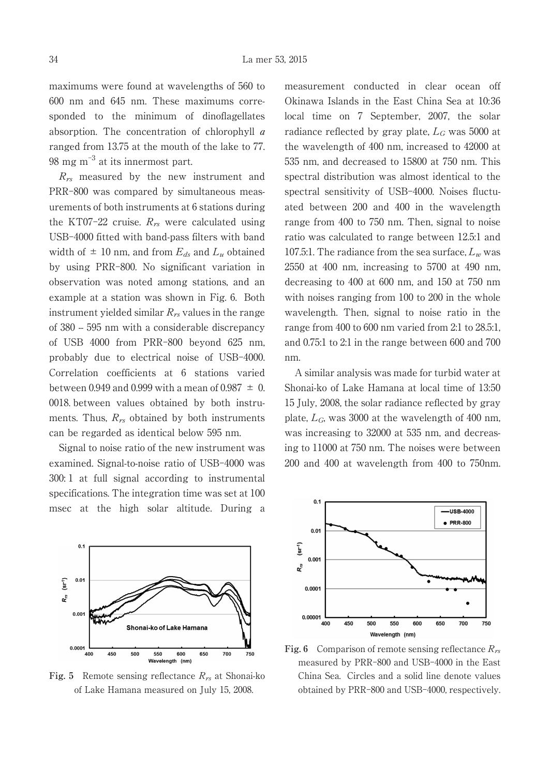maximums were found at wavelengths of 560 to 600 nm and 645 nm. These maximums corresponded to the minimum of dinoflagellates absorption. The concentration of chlorophyll  $a$ ranged from 13.75 at the mouth of the lake to 77. 98 mg m<sup>-3</sup> at its innermost part.

 $R_{rs}$  measured by the new instrument and PRR-800 was compared by simultaneous measurements of both instruments at 6 stations during the KT07-22 cruise.  $R_{rs}$  were calculated using USB-4000 fitted with band-pass filters with band width of  $\pm$  10 nm, and from  $E_{ds}$  and  $L_u$  obtained by using PRR-800. No significant variation in observation was noted among stations, and an example at a station was shown in Fig. 6. Both instrument yielded similar  $R_{rs}$  values in the range of 380 -- 595 nm with a considerable discrepancy of USB 4000 from PRR-800 beyond 625 nm, probably due to electrical noise of USB-4000. Correlation coefficients at 6 stations varied between 0.949 and 0.999 with a mean of 0.987  $\pm$  0. 0018. between values obtained by both instruments. Thus,  $R_{rs}$  obtained by both instruments can be regarded as identical below 595 nm.

Signal to noise ratio of the new instrument was examined. Signal-to-noise ratio of USB-4000 was 300: 1 at full signal according to instrumental specifications. The integration time was set at 100 msec at the high solar altitude. During a



**Fig.** 5 Remote sensing reflectance  $R_{rs}$  at Shonai-ko of Lake Hamana measured on July 15, 2008.

measurement conducted in clear ocean off Okinawa Islands in the East China Sea at 10:36 local time on 7 September, 2007, the solar radiance reflected by gray plate,  $L_G$  was 5000 at the wavelength of 400 nm, increased to 42000 at 535 nm, and decreased to 15800 at 750 nm. This spectral distribution was almost identical to the spectral sensitivity of USB-4000. Noises fluctuated between 200 and 400 in the wavelength range from 400 to 750 nm. Then, signal to noise ratio was calculated to range between 12.5:1 and 107.5:1. The radiance from the sea surface,  $L_w$  was 2550 at 400 nm, increasing to 5700 at 490 nm, decreasing to 400 at 600 nm, and 150 at 750 nm with noises ranging from 100 to 200 in the whole wavelength. Then, signal to noise ratio in the range from 400 to 600 nm varied from 2:1 to 28.5:1, and 0.75:1 to 2:1 in the range between 600 and 700 nm.

A similar analysis was made for turbid water at Shonai-ko of Lake Hamana at local time of 13:50 15 July, 2008, the solar radiance reflected by gray plate,  $L_G$ , was 3000 at the wavelength of 400 nm, was increasing to 32000 at 535 nm, and decreasing to 11000 at 750 nm. The noises were between 200 and 400 at wavelength from 400 to 750nm.



**Fig.** 6 Comparison of remote sensing reflectance  $R_{rs}$ measured by PRR-800 and USB-4000 in the East China Sea. Circles and a solid line denote values obtained by PRR-800 and USB-4000, respectively.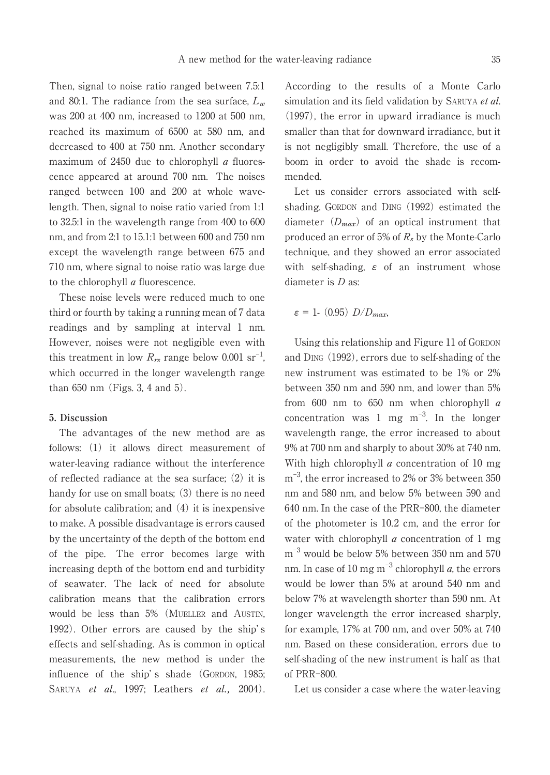Then, signal to noise ratio ranged between 7.5:1 and 80:1. The radiance from the sea surface,  $L<sub>w</sub>$ was 200 at 400 nm, increased to 1200 at 500 nm, reached its maximum of 6500 at 580 nm, and decreased to 400 at 750 nm. Another secondary maximum of 2450 due to chlorophyll  $\alpha$  fluorescence appeared at around 700 nm. The noises ranged between 100 and 200 at whole wavelength. Then, signal to noise ratio varied from 1:1 to 32.5:1 in the wavelength range from 400 to 600 nm, and from 2:1 to 15.1:1 between 600 and 750 nm except the wavelength range between 675 and 710 nm, where signal to noise ratio was large due to the chlorophyll *a* fluorescence.

These noise levels were reduced much to one third or fourth by taking a running mean of 7 data readings and by sampling at interval 1 nm. However, noises were not negligible even with this treatment in low  $R_{rs}$  range below 0.001 sr<sup>-1</sup> , which occurred in the longer wavelength range than 650 nm (Figs. 3, 4 and 5).

#### **5. Discussion**

The advantages of the new method are as follows: (1) it allows direct measurement of water-leaving radiance without the interference of reflected radiance at the sea surface; (2) it is handy for use on small boats; (3) there is no need for absolute calibration; and (4) it is inexpensive to make. A possible disadvantage is errors caused by the uncertainty of the depth of the bottom end of the pipe. The error becomes large with increasing depth of the bottom end and turbidity of seawater. The lack of need for absolute calibration means that the calibration errors would be less than 5% (MUELLER and AUSTIN, 1992). Other errors are caused by the ship' s effects and self-shading. As is common in optical measurements, the new method is under the influence of the ship' s shade (GORDON, 1985; SARUYA et al., 1997; Leathers et al., 2004). According to the results of a Monte Carlo simulation and its field validation by SARUYA et al. (1997), the error in upward irradiance is much smaller than that for downward irradiance, but it is not negligibly small. Therefore, the use of a boom in order to avoid the shade is recommended.

Let us consider errors associated with selfshading. GORDON and DING (1992) estimated the diameter  $(D_{max})$  of an optical instrument that produced an error of 5% of R*L* by the Monte-Carlo technique, and they showed an error associated with self-shading,  $\varepsilon$  of an instrument whose diameter is D as:

$$
\varepsilon = 1. \ (0.95) \ D/D_{max},
$$

Using this relationship and Figure 11 of GORDON and DING (1992), errors due to self-shading of the new instrument was estimated to be 1% or 2% between 350 nm and 590 nm, and lower than 5% from 600 nm to 650 nm when chlorophyll  $a$ concentration was  $1 \text{ mg } \text{m}^{-3}$ . In the longer wavelength range, the error increased to about 9% at 700 nm and sharply to about 30% at 740 nm. With high chlorophyll  $a$  concentration of 10 mg m -3 , the error increased to 2% or 3% between 350 nm and 580 nm, and below 5% between 590 and 640 nm. In the case of the PRR-800, the diameter of the photometer is 10.2 cm, and the error for water with chlorophyll  $a$  concentration of 1 mg  $\mathrm{m}^{-3}$  would be below 5% between 350 nm and 570 nm. In case of  $10 \text{ mg m}^{-3}$  chlorophyll  $a$ , the errors would be lower than 5% at around 540 nm and below 7% at wavelength shorter than 590 nm. At longer wavelength the error increased sharply, for example, 17% at 700 nm, and over 50% at 740 nm. Based on these consideration, errors due to self-shading of the new instrument is half as that of PRR-800.

Let us consider a case where the water-leaving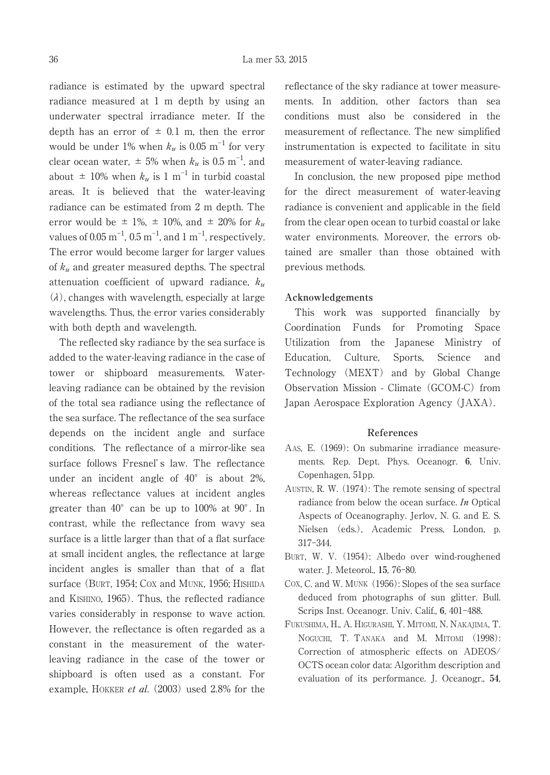radiance is estimated by the upward spectral radiance measured at 1 m depth by using an underwater spectral irradiance meter. If the depth has an error of  $\pm$  0.1 m, then the error would be under 1% when  $k_u$  is 0.05 m<sup>-1</sup> for very clear ocean water,  $\pm$  5% when  $k_u$  is 0.5 m<sup>-1</sup>, and about  $\pm$  10% when  $k_u$  is 1 m<sup>-1</sup> in turbid coastal areas. It is believed that the water-leaving radiance can be estimated from 2 m depth. The error would be  $\pm$  1%,  $\pm$  10%, and  $\pm$  20% for  $k_u$ values of  $0.05 \text{ m}^{-1}$ ,  $0.5 \text{ m}^{-1}$ , and  $1 \text{ m}^{-1}$ , respectively. The error would become larger for larger values of  $k_u$  and greater measured depths. The spectral attenuation coefficient of upward radiance,  $k_u$ (*à*), changes with wavelength, especially at large wavelengths. Thus, the error varies considerably with both depth and wavelength.

The reflected sky radiance by the sea surface is added to the water-leaving radiance in the case of tower or shipboard measurements. Waterleaving radiance can be obtained by the revision of the total sea radiance using the reflectance of the sea surface. The reflectance of the sea surface depends on the incident angle and surface conditions. The reflectance of a mirror-like sea surface follows Fresnel's law. The reflectance under an incident angle of  $40^{\circ}$  is about 2%, whereas reflectance values at incident angles greater than  $40^{\circ}$  can be up to 100% at 90 $^{\circ}$ . In contrast, while the reflectance from wavy sea surface is a little larger than that of a flat surface at small incident angles, the reflectance at large incident angles is smaller than that of a flat surface (BURT, 1954; COX and MUNK, 1956; HISHIDA and KISHINO, 1965). Thus, the reflected radiance varies considerably in response to wave action. However, the reflectance is often regarded as a constant in the measurement of the waterleaving radiance in the case of the tower or shipboard is often used as a constant. For example, HOKKER *et al.* (2003) used 2.8% for the reflectance of the sky radiance at tower measurements. In addition, other factors than sea conditions must also be considered in the measurement of reflectance. The new simplified instrumentation is expected to facilitate in situ measurement of water-leaving radiance.

In conclusion, the new proposed pipe method for the direct measurement of water-leaving radiance is convenient and applicable in the field from the clear open ocean to turbid coastal or lake water environments. Moreover, the errors obtained are smaller than those obtained with previous methods.

## **Acknowledgements**

This work was supported financially by Coordination Funds for Promoting Space Utilization from the Japanese Ministry of Education, Culture, Sports, Science and Technology (MEXT) and by Global Change Observation Mission - Climate (GCOM-C) from Japan Aerospace Exploration Agency (JAXA).

#### **References**

- AAS, E. (1969): On submarine irradiance measurements. Rep. Dept. Phys. Oceanogr. **6**, Univ. Copenhagen, 51pp.
- AUSTIN, R. W. (1974): The remote sensing of spectral radiance from below the ocean surface. In Optical Aspects of Oceanography. Jerlov, N. G. and E. S. Nielsen (eds.), Academic Press, London, p. 317-344.
- BURT, W. V. (1954): Albedo over wind-roughened water. J. Meteorol., **15**, 76-80.
- COX, C. and W. MUNK (1956): Slopes of the sea surface deduced from photographs of sun glitter. Bull. Scrips Inst. Oceanogr. Univ. Calif., **6**, 401-488.
- FUKUSHIMA, H., A. HIGURASHI, Y. MITOMI, N. NAKAJIMA, T. NOGUCHI, T. TANAKA and M. MITOMI (1998): Correction of atmospheric effects on ADEOS/ OCTS ocean color data: Algorithm description and evaluation of its performance. J. Oceanogr., **54**,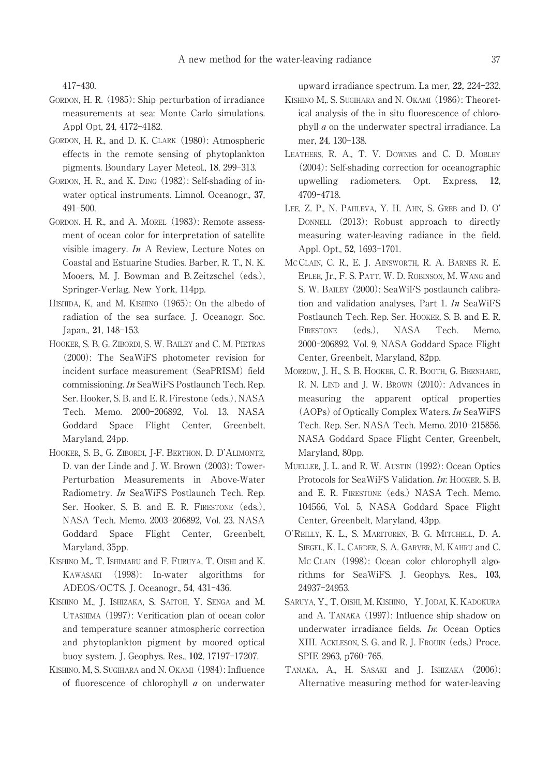417-430.

- GORDON, H. R. (1985): Ship perturbation of irradiance measurements at sea: Monte Carlo simulations. Appl Opt, **24**, 4172-4182.
- GORDON, H. R., and D. K. CLARK (1980): Atmospheric effects in the remote sensing of phytoplankton pigments. Boundary Layer Meteol., **18**, 299-313.
- GORDON, H. R., and K. DING (1982): Self-shading of inwater optical instruments. Limnol. Oceanogr., **37**, 491-500.
- GORDON. H. R., and A. MOREL (1983): Remote assessment of ocean color for interpretation of satellite visible imagery. In A Review, Lecture Notes on Coastal and Estuarine Studies. Barber, R. T., N. K. Mooers, M. J. Bowman and B. Zeitzschel (eds.), Springer-Verlag, New York, 114pp.
- HISHIDA, K, and M. KISHINO (1965): On the albedo of radiation of the sea surface. J. Oceanogr. Soc. Japan., **21**, 148-153.
- HOOKER, S. B, G. ZIBORDI, S. W. BAILEY and C. M. PIETRAS (2000): The SeaWiFS photometer revision for incident surface measurement (SeaPRISM) field commissioning. In SeaWiFS Postlaunch Tech. Rep. Ser. Hooker, S. B. and E. R. Firestone (eds.), NASA Tech. Memo. 2000-206892, Vol. 13. NASA Goddard Space Flight Center, Greenbelt, Maryland, 24pp.
- HOOKER, S. B., G. ZIBORDI, J-F. BERTHON, D. D'ALIMONTE, D. van der Linde and J. W. Brown (2003): Tower-Perturbation Measurements in Above-Water Radiometry. In SeaWiFS Postlaunch Tech. Rep. Ser. Hooker, S. B. and E. R. FIRESTONE (eds.), NASA Tech. Memo. 2003-206892, Vol. 23. NASA Goddard Space Flight Center, Greenbelt, Maryland, 35pp.
- KISHINO M, T. ISHIMARU and F. FURUYA, T. OISHI and K. KAWASAKI (1998): In-water algorithms for ADEOS/OCTS. J. Oceanogr., **54**, 431-436.
- KISHINO M., J. ISHIZAKA, S. SAITOH, Y. SENGA and M. UTASHIMA (1997): Verification plan of ocean color and temperature scanner atmospheric correction and phytoplankton pigment by moored optical buoy system. J. Geophys. Res., **102**, 17197-17207.
- KISHINO, M, S. SUGIHARA and N. OKAMI (1984): Influence of fluorescence of chlorophyll a on underwater

upward irradiance spectrum. La mer, **22,** 224-232.

- KISHINO M., S. SUGIHARA and N. OKAMI (1986): Theoretical analysis of the in situ fluorescence of chlorophyll  $a$  on the underwater spectral irradiance. La mer, **24**, 130-138.
- LEATHERS, R. A., T. V. DOWNES and C. D. MOBLEY (2004): Self-shading correction for oceanographic upwelling radiometers. Opt. Express, **12**, 4709-4718.
- LEE, Z. P., N. PAHLEVA, Y. H. AHN, S. GREB and D. O' DONNELL (2013): Robust approach to directly measuring water-leaving radiance in the field. Appl. Opt., **52**, 1693-1701.
- MC CLAIN, C. R., E. J. AINSWORTH, R. A. BARNES R. E. EPLEE, Jr., F. S. PATT, W. D. ROBINSON, M. WANG and S. W. BAILEY (2000): SeaWiFS postlaunch calibration and validation analyses, Part 1. In SeaWiFS Postlaunch Tech. Rep. Ser. HOOKER, S. B. and E. R. FIRESTONE (eds.), NASA Tech. Memo. 2000-206892, Vol. 9, NASA Goddard Space Flight Center, Greenbelt, Maryland, 82pp.
- MORROW, J. H., S. B. HOOKER, C. R. BOOTH, G. BERNHARD, R. N. LIND and J. W. BROWN (2010): Advances in measuring the apparent optical properties (AOPs) of Optically Complex Waters. In SeaWiFS Tech. Rep. Ser. NASA Tech. Memo. 2010-215856. NASA Goddard Space Flight Center, Greenbelt, Maryland, 80pp.
- MUELLER, J. L. and R. W. AUSTIN (1992): Ocean Optics Protocols for SeaWiFS Validation. In: HOOKER, S. B. and E. R. FIRESTONE (eds.) NASA Tech. Memo. 104566, Vol. 5, NASA Goddard Space Flight Center, Greenbelt, Maryland, 43pp.
- O'REILLY, K. L., S. MARITOREN, B. G. MITCHELL, D. A. SIEGEL, K. L. CARDER, S. A. GARVER, M. KAHRU and C. MC CLAIN (1998): Ocean color chlorophyll algorithms for SeaWiFS. J. Geophys. Res., **103**, 24937-24953.
- SARUYA, Y., T. OISHI, M. KISHINO, Y. JODAI, K. KADOKURA and A. TANAKA (1997): Influence ship shadow on underwater irradiance fields. In: Ocean Optics XIII. ACKLESON, S. G. and R. J. FROUIN (eds.) Proce. SPIE 2963, p760-765.
- TANAKA, A., H. SASAKI and J. ISHIZAKA (2006): Alternative measuring method for water-leaving